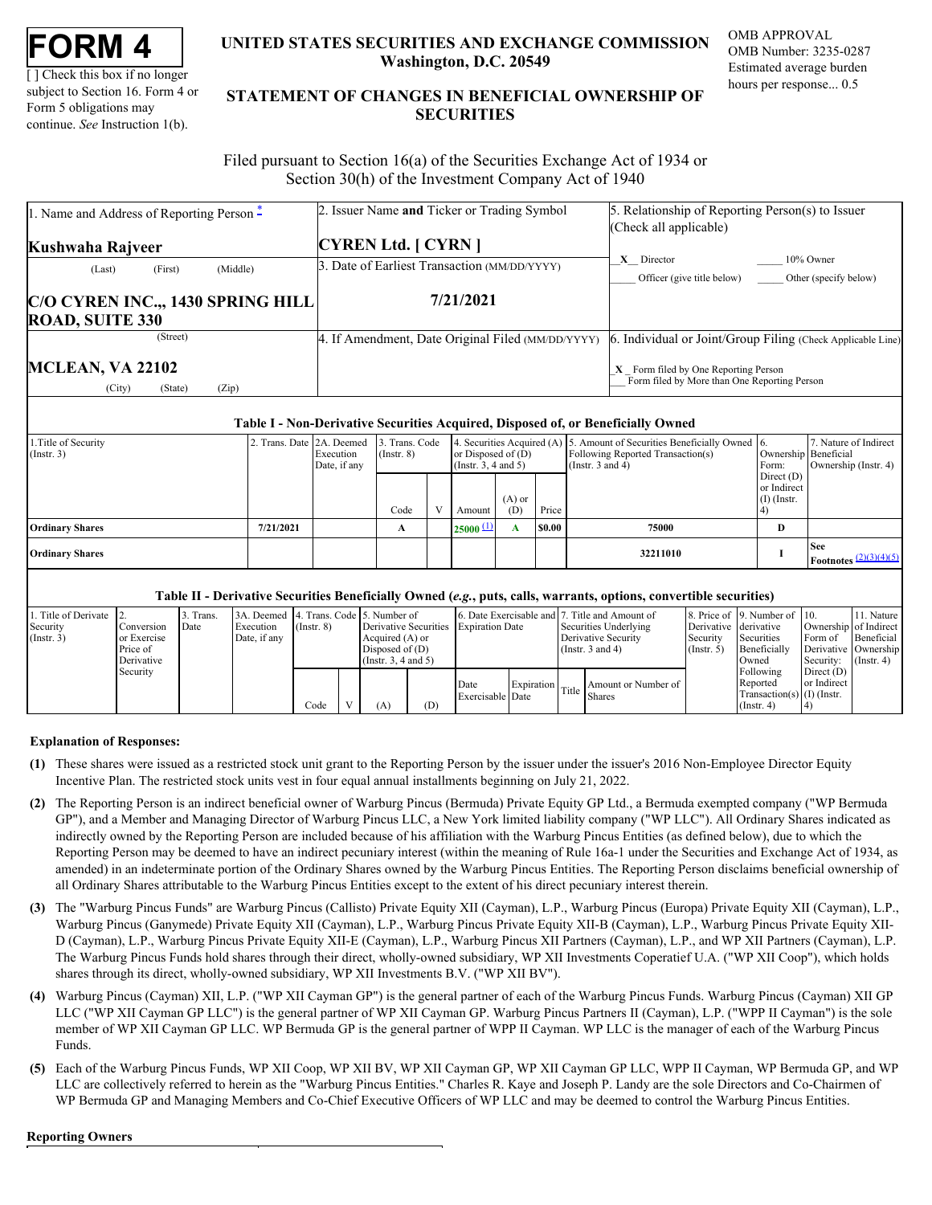| FORM |  |
|------|--|
|------|--|

[ ] Check this box if no longer subject to Section 16. Form 4 or Form 5 obligations may continue. *See* Instruction 1(b).

# **UNITED STATES SECURITIES AND EXCHANGE COMMISSION OMB APPROVAL Washington, D.C. 20549**

OMB Number: 3235-0287 Estimated average burden hours per response... 0.5

# **UNITED STATES SECURITIES AND EXCHANGE COMMISSION**<br>
UNITED STATES SECURITIES AND EXCHANGE COMMISSION<br>
UNERSITY OF SUBJECT AND THE STATEMENT OF CHANGES IN BENEFICIAL OWNERSHIP OF<br>
Form 5 obligations may<br>
continue. See Instr **STATEMENT OF CHANGES IN BENEFICIAL OWNERSHIP OF SECURITIES** TATES SECURITIES AND EXCHANGE COMMISSION OMB APPROVAL<br>Washington, D.C. 20549<br>Estimated average burden<br>ENT OF CHANGES IN BENEFICIAL OWNERSHIP OF<br>SECURITIES

 Filed pursuant to Section 16(a) of the Securities Exchange Act of 1934 or Section 30(h) of the Investment Company Act of 1940

| 1. Name and Address of Reporting Person –             | 2. Issuer Name and Ticker or Trading Symbol       | 5. Relationship of Reporting Person(s) to Issuer                                       |
|-------------------------------------------------------|---------------------------------------------------|----------------------------------------------------------------------------------------|
|                                                       |                                                   | (Check all applicable)                                                                 |
| Kushwaha Rajveer                                      | <b>CYREN Ltd.</b> [ CYRN ]                        |                                                                                        |
| (Middle)<br>(First)<br>(Last)                         | 3. Date of Earliest Transaction (MM/DD/YYYY)      | X Director<br>10% Owner<br>Officer (give title below)<br>Other (specify below)         |
| C/O CYREN INC., 1430 SPRING HILL                      | 7/21/2021                                         |                                                                                        |
| <b>ROAD, SUITE 330</b>                                |                                                   |                                                                                        |
| (Street)                                              | 4. If Amendment, Date Original Filed (MM/DD/YYYY) | 6. Individual or Joint/Group Filing (Check Applicable Line)                            |
| <b>MCLEAN, VA 22102</b><br>(Zip)<br>(City)<br>(State) |                                                   | $X$ Form filed by One Reporting Person<br>Form filed by More than One Reporting Person |

#### **Table I - Non-Derivative Securities Acquired, Disposed of, or Beneficially Owned**

| 1. Title of Security<br>$($ Instr. 3 $)$ | 2. Trans. Date 2A. Deemed | Execution<br>Date, if any | 3. Trans. Code<br>$($ Instr. $8)$ | or Disposed of $(D)$<br>$($ Instr. 3, 4 and 5 $)$ |                 |        | 4. Securities Acquired (A) 5. Amount of Securities Beneficially Owned 6.<br>Following Reported Transaction(s)<br>(Instr. 3 and 4) | Form:                                        | 7. Nature of Indirect<br>Ownership Beneficial<br>Ownership (Instr. 4) |
|------------------------------------------|---------------------------|---------------------------|-----------------------------------|---------------------------------------------------|-----------------|--------|-----------------------------------------------------------------------------------------------------------------------------------|----------------------------------------------|-----------------------------------------------------------------------|
|                                          |                           |                           | Code                              | Amount                                            | $(A)$ or<br>(D) | Price  |                                                                                                                                   | Direct $(D)$<br>or Indirect<br>$(I)$ (Instr. |                                                                       |
| <b>Ordinary Shares</b>                   | 7/21/2021                 |                           |                                   | $25000 \pm 1$                                     |                 | \$0.00 | 75000                                                                                                                             | D                                            |                                                                       |
| <b>Ordinary Shares</b>                   |                           |                           |                                   |                                                   |                 |        | 32211010                                                                                                                          |                                              | <b>See</b><br><b>Footnotes</b> $\frac{(2)(3)(4)(5)}{2}$               |

### **Table II - Derivative Securities Beneficially Owned (***e.g.***, puts, calls, warrants, options, convertible securities)**

| 1. Title of Derivate 2. |                           | Trans. | 3A. Deemed 4. Trans. Code 5. Number of |                  |                                           |     |                                       |  | 6. Date Exercisable and 7. Title and Amount of |                                   | 8. Price of 9. Number of 10.                                              |                               | 11. Nature<br>Ownership of Indirect |
|-------------------------|---------------------------|--------|----------------------------------------|------------------|-------------------------------------------|-----|---------------------------------------|--|------------------------------------------------|-----------------------------------|---------------------------------------------------------------------------|-------------------------------|-------------------------------------|
| Security<br>(Instr. 3)  | Conversion<br>or Exercise | Date   | Execution<br>Date, if any              | $($ Instr $, 8)$ | Acquired $(A)$ or                         |     | Derivative Securities Expiration Date |  | Securities Underlying<br>Derivative Security   | Derivative derivative<br>Security | Securities                                                                | Form of                       | Beneficial                          |
|                         | Price of<br>Derivative    |        |                                        |                  | Disposed of $(D)$<br>(Insert. 3, 4 and 5) |     |                                       |  | (Instr. $3$ and $4$ )                          | $($ Instr. 5 $)$                  | Beneficially<br>Owned                                                     | Security: $(\text{Instr. 4})$ | Derivative Ownership                |
|                         | Security                  |        |                                        | Code             | (A)                                       | (D) | Date<br>Exercisable Date              |  | Amount or Number of<br>Expiration Title Shares |                                   | Following<br>Reported<br>Transaction(s) $(1)$ (Instr.<br>$($ Instr. 4 $)$ | Direct $(D)$<br>or Indirect   |                                     |

## **Explanation of Responses:**

- <span id="page-0-0"></span>**(1)** These shares were issued as a restricted stock unit grant to the Reporting Person by the issuer under the issuer's 2016 Non-Employee Director Equity Incentive Plan. The restricted stock units vest in four equal annual installments beginning on July 21, 2022.
- <span id="page-0-1"></span>**(2)** The Reporting Person is an indirect beneficial owner of Warburg Pincus (Bermuda) Private Equity GP Ltd., a Bermuda exempted company ("WP Bermuda GP"), and a Member and Managing Director of Warburg Pincus LLC, a New York limited liability company ("WP LLC"). All Ordinary Shares indicated as indirectly owned by the Reporting Person are included because of his affiliation with the Warburg Pincus Entities (as defined below), due to which the Reporting Person may be deemed to have an indirect pecuniary interest (within the meaning of Rule 16a-1 under the Securities and Exchange Act of 1934, as amended) in an indeterminate portion of the Ordinary Shares owned by the Warburg Pincus Entities. The Reporting Person disclaims beneficial ownership of all Ordinary Shares attributable to the Warburg Pincus Entities except to the extent of his direct pecuniary interest therein.
- <span id="page-0-2"></span>**(3)** The "Warburg Pincus Funds" are Warburg Pincus (Callisto) Private Equity XII (Cayman), L.P., Warburg Pincus (Europa) Private Equity XII (Cayman), L.P., Warburg Pincus (Ganymede) Private Equity XII (Cayman), L.P., Warburg Pincus Private Equity XII-B (Cayman), L.P., Warburg Pincus Private Equity XII-D (Cayman), L.P., Warburg Pincus Private Equity XII-E (Cayman), L.P., Warburg Pincus XII Partners (Cayman), L.P., and WP XII Partners (Cayman), L.P. The Warburg Pincus Funds hold shares through their direct, wholly-owned subsidiary, WP XII Investments Coperatief U.A. ("WP XII Coop"), which holds shares through its direct, wholly-owned subsidiary, WP XII Investments B.V. ("WP XII BV").
- <span id="page-0-3"></span>**(4)** Warburg Pincus (Cayman) XII, L.P. ("WP XII Cayman GP") is the general partner of each of the Warburg Pincus Funds. Warburg Pincus (Cayman) XII GP LLC ("WP XII Cayman GP LLC") is the general partner of WP XII Cayman GP. Warburg Pincus Partners II (Cayman), L.P. ("WPP II Cayman") is the sole member of WP XII Cayman GP LLC. WP Bermuda GP is the general partner of WPP II Cayman. WP LLC is the manager of each of the Warburg Pincus Funds.
- <span id="page-0-4"></span>**(5)** Each of the Warburg Pincus Funds, WP XII Coop, WP XII BV, WP XII Cayman GP, WP XII Cayman GP LLC, WPP II Cayman, WP Bermuda GP, and WP LLC are collectively referred to herein as the "Warburg Pincus Entities." Charles R. Kaye and Joseph P. Landy are the sole Directors and Co-Chairmen of WP Bermuda GP and Managing Members and Co-Chief Executive Officers of WP LLC and may be deemed to control the Warburg Pincus Entities.